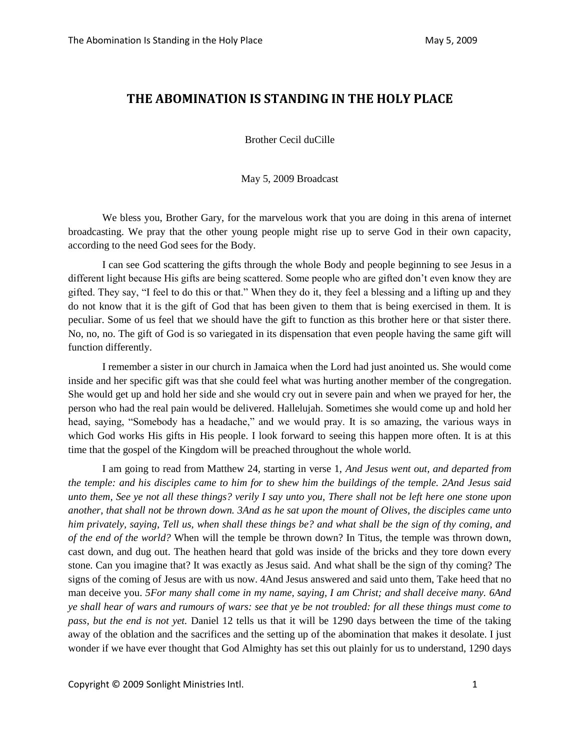## **THE ABOMINATION IS STANDING IN THE HOLY PLACE**

Brother Cecil duCille

May 5, 2009 Broadcast

We bless you, Brother Gary, for the marvelous work that you are doing in this arena of internet broadcasting. We pray that the other young people might rise up to serve God in their own capacity, according to the need God sees for the Body.

I can see God scattering the gifts through the whole Body and people beginning to see Jesus in a different light because His gifts are being scattered. Some people who are gifted don't even know they are gifted. They say, "I feel to do this or that." When they do it, they feel a blessing and a lifting up and they do not know that it is the gift of God that has been given to them that is being exercised in them. It is peculiar. Some of us feel that we should have the gift to function as this brother here or that sister there. No, no, no. The gift of God is so variegated in its dispensation that even people having the same gift will function differently.

I remember a sister in our church in Jamaica when the Lord had just anointed us. She would come inside and her specific gift was that she could feel what was hurting another member of the congregation. She would get up and hold her side and she would cry out in severe pain and when we prayed for her, the person who had the real pain would be delivered. Hallelujah. Sometimes she would come up and hold her head, saying, "Somebody has a headache," and we would pray. It is so amazing, the various ways in which God works His gifts in His people. I look forward to seeing this happen more often. It is at this time that the gospel of the Kingdom will be preached throughout the whole world.

I am going to read from Matthew 24, starting in verse 1, *And Jesus went out, and departed from the temple: and his disciples came to him for to shew him the buildings of the temple. 2And Jesus said unto them, See ye not all these things? verily I say unto you, There shall not be left here one stone upon another, that shall not be thrown down. 3And as he sat upon the mount of Olives, the disciples came unto him privately, saying, Tell us, when shall these things be? and what shall be the sign of thy coming, and of the end of the world?* When will the temple be thrown down? In Titus, the temple was thrown down, cast down, and dug out. The heathen heard that gold was inside of the bricks and they tore down every stone. Can you imagine that? It was exactly as Jesus said. And what shall be the sign of thy coming? The signs of the coming of Jesus are with us now. 4And Jesus answered and said unto them, Take heed that no man deceive you. *5For many shall come in my name, saying, I am Christ; and shall deceive many. 6And ye shall hear of wars and rumours of wars: see that ye be not troubled: for all these things must come to pass, but the end is not yet.* Daniel 12 tells us that it will be 1290 days between the time of the taking away of the oblation and the sacrifices and the setting up of the abomination that makes it desolate. I just wonder if we have ever thought that God Almighty has set this out plainly for us to understand, 1290 days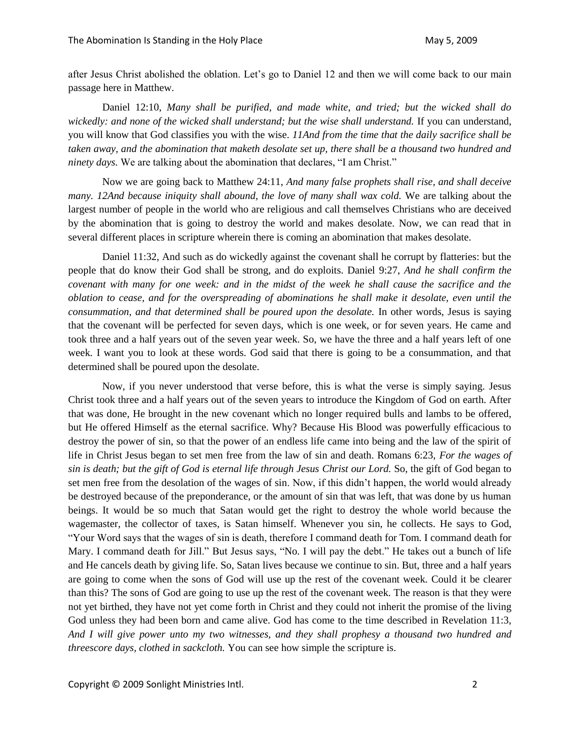after Jesus Christ abolished the oblation. Let's go to Daniel 12 and then we will come back to our main passage here in Matthew.

Daniel 12:10, *Many shall be purified, and made white, and tried; but the wicked shall do wickedly: and none of the wicked shall understand; but the wise shall understand.* If you can understand, you will know that God classifies you with the wise. *11And from the time that the daily sacrifice shall be taken away, and the abomination that maketh desolate set up, there shall be a thousand two hundred and ninety days.* We are talking about the abomination that declares, "I am Christ."

Now we are going back to Matthew 24:11, *And many false prophets shall rise, and shall deceive many. 12And because iniquity shall abound, the love of many shall wax cold.* We are talking about the largest number of people in the world who are religious and call themselves Christians who are deceived by the abomination that is going to destroy the world and makes desolate. Now, we can read that in several different places in scripture wherein there is coming an abomination that makes desolate.

Daniel 11:32, And such as do wickedly against the covenant shall he corrupt by flatteries: but the people that do know their God shall be strong, and do exploits. Daniel 9:27, *And he shall confirm the covenant with many for one week: and in the midst of the week he shall cause the sacrifice and the oblation to cease, and for the overspreading of abominations he shall make it desolate, even until the consummation, and that determined shall be poured upon the desolate.* In other words, Jesus is saying that the covenant will be perfected for seven days, which is one week, or for seven years. He came and took three and a half years out of the seven year week. So, we have the three and a half years left of one week. I want you to look at these words. God said that there is going to be a consummation, and that determined shall be poured upon the desolate.

Now, if you never understood that verse before, this is what the verse is simply saying. Jesus Christ took three and a half years out of the seven years to introduce the Kingdom of God on earth. After that was done, He brought in the new covenant which no longer required bulls and lambs to be offered, but He offered Himself as the eternal sacrifice. Why? Because His Blood was powerfully efficacious to destroy the power of sin, so that the power of an endless life came into being and the law of the spirit of life in Christ Jesus began to set men free from the law of sin and death. Romans 6:23, *For the wages of sin is death; but the gift of God is eternal life through Jesus Christ our Lord.* So, the gift of God began to set men free from the desolation of the wages of sin. Now, if this didn't happen, the world would already be destroyed because of the preponderance, or the amount of sin that was left, that was done by us human beings. It would be so much that Satan would get the right to destroy the whole world because the wagemaster, the collector of taxes, is Satan himself. Whenever you sin, he collects. He says to God, "Your Word says that the wages of sin is death, therefore I command death for Tom. I command death for Mary. I command death for Jill." But Jesus says, "No. I will pay the debt." He takes out a bunch of life and He cancels death by giving life. So, Satan lives because we continue to sin. But, three and a half years are going to come when the sons of God will use up the rest of the covenant week. Could it be clearer than this? The sons of God are going to use up the rest of the covenant week. The reason is that they were not yet birthed, they have not yet come forth in Christ and they could not inherit the promise of the living God unless they had been born and came alive. God has come to the time described in Revelation 11:3, *And I will give power unto my two witnesses, and they shall prophesy a thousand two hundred and threescore days, clothed in sackcloth.* You can see how simple the scripture is.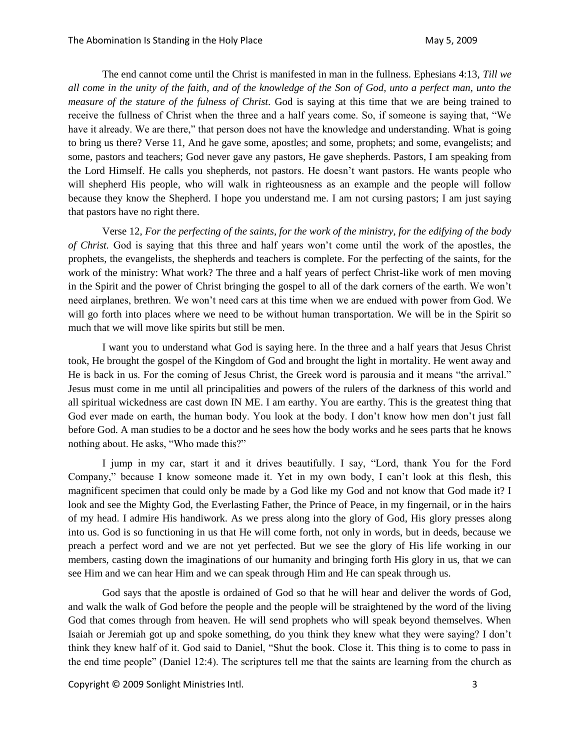The end cannot come until the Christ is manifested in man in the fullness. Ephesians 4:13, *Till we all come in the unity of the faith, and of the knowledge of the Son of God, unto a perfect man, unto the measure of the stature of the fulness of Christ.* God is saying at this time that we are being trained to receive the fullness of Christ when the three and a half years come. So, if someone is saying that, "We have it already. We are there," that person does not have the knowledge and understanding. What is going to bring us there? Verse 11, And he gave some, apostles; and some, prophets; and some, evangelists; and some, pastors and teachers; God never gave any pastors, He gave shepherds. Pastors, I am speaking from the Lord Himself. He calls you shepherds, not pastors. He doesn't want pastors. He wants people who will shepherd His people, who will walk in righteousness as an example and the people will follow because they know the Shepherd. I hope you understand me. I am not cursing pastors; I am just saying that pastors have no right there.

Verse 12, *For the perfecting of the saints, for the work of the ministry, for the edifying of the body of Christ.* God is saying that this three and half years won't come until the work of the apostles, the prophets, the evangelists, the shepherds and teachers is complete. For the perfecting of the saints, for the work of the ministry: What work? The three and a half years of perfect Christ-like work of men moving in the Spirit and the power of Christ bringing the gospel to all of the dark corners of the earth. We won't need airplanes, brethren. We won't need cars at this time when we are endued with power from God. We will go forth into places where we need to be without human transportation. We will be in the Spirit so much that we will move like spirits but still be men.

I want you to understand what God is saying here. In the three and a half years that Jesus Christ took, He brought the gospel of the Kingdom of God and brought the light in mortality. He went away and He is back in us. For the coming of Jesus Christ, the Greek word is parousia and it means "the arrival." Jesus must come in me until all principalities and powers of the rulers of the darkness of this world and all spiritual wickedness are cast down IN ME. I am earthy. You are earthy. This is the greatest thing that God ever made on earth, the human body. You look at the body. I don't know how men don't just fall before God. A man studies to be a doctor and he sees how the body works and he sees parts that he knows nothing about. He asks, "Who made this?"

I jump in my car, start it and it drives beautifully. I say, "Lord, thank You for the Ford Company," because I know someone made it. Yet in my own body, I can't look at this flesh, this magnificent specimen that could only be made by a God like my God and not know that God made it? I look and see the Mighty God, the Everlasting Father, the Prince of Peace, in my fingernail, or in the hairs of my head. I admire His handiwork. As we press along into the glory of God, His glory presses along into us. God is so functioning in us that He will come forth, not only in words, but in deeds, because we preach a perfect word and we are not yet perfected. But we see the glory of His life working in our members, casting down the imaginations of our humanity and bringing forth His glory in us, that we can see Him and we can hear Him and we can speak through Him and He can speak through us.

God says that the apostle is ordained of God so that he will hear and deliver the words of God, and walk the walk of God before the people and the people will be straightened by the word of the living God that comes through from heaven. He will send prophets who will speak beyond themselves. When Isaiah or Jeremiah got up and spoke something, do you think they knew what they were saying? I don't think they knew half of it. God said to Daniel, "Shut the book. Close it. This thing is to come to pass in the end time people" (Daniel 12:4). The scriptures tell me that the saints are learning from the church as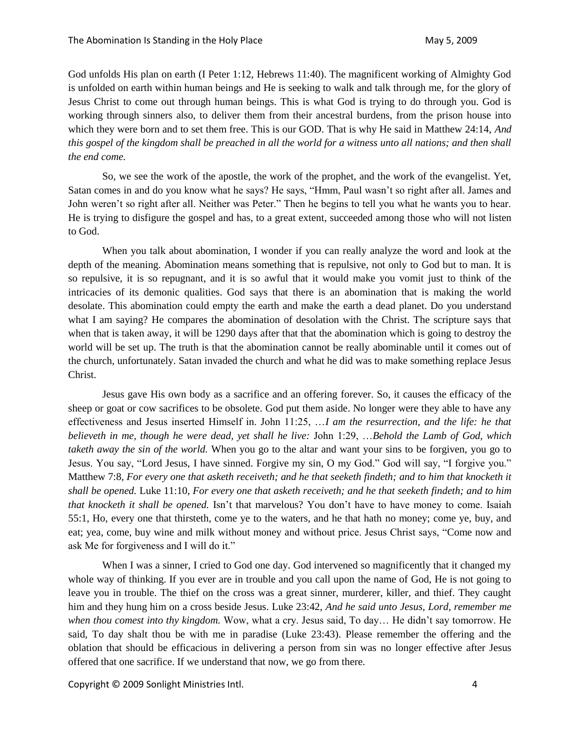God unfolds His plan on earth (I Peter 1:12, Hebrews 11:40). The magnificent working of Almighty God is unfolded on earth within human beings and He is seeking to walk and talk through me, for the glory of Jesus Christ to come out through human beings. This is what God is trying to do through you. God is working through sinners also, to deliver them from their ancestral burdens, from the prison house into which they were born and to set them free. This is our GOD. That is why He said in Matthew 24:14, *And this gospel of the kingdom shall be preached in all the world for a witness unto all nations; and then shall the end come.*

So, we see the work of the apostle, the work of the prophet, and the work of the evangelist. Yet, Satan comes in and do you know what he says? He says, "Hmm, Paul wasn't so right after all. James and John weren't so right after all. Neither was Peter." Then he begins to tell you what he wants you to hear. He is trying to disfigure the gospel and has, to a great extent, succeeded among those who will not listen to God.

When you talk about abomination, I wonder if you can really analyze the word and look at the depth of the meaning. Abomination means something that is repulsive, not only to God but to man. It is so repulsive, it is so repugnant, and it is so awful that it would make you vomit just to think of the intricacies of its demonic qualities. God says that there is an abomination that is making the world desolate. This abomination could empty the earth and make the earth a dead planet. Do you understand what I am saying? He compares the abomination of desolation with the Christ. The scripture says that when that is taken away, it will be 1290 days after that that the abomination which is going to destroy the world will be set up. The truth is that the abomination cannot be really abominable until it comes out of the church, unfortunately. Satan invaded the church and what he did was to make something replace Jesus Christ.

Jesus gave His own body as a sacrifice and an offering forever. So, it causes the efficacy of the sheep or goat or cow sacrifices to be obsolete. God put them aside. No longer were they able to have any effectiveness and Jesus inserted Himself in. John 11:25, …*I am the resurrection, and the life: he that believeth in me, though he were dead, yet shall he live:* John 1:29, …*Behold the Lamb of God, which taketh away the sin of the world.* When you go to the altar and want your sins to be forgiven, you go to Jesus. You say, "Lord Jesus, I have sinned. Forgive my sin, O my God." God will say, "I forgive you." Matthew 7:8*, For every one that asketh receiveth; and he that seeketh findeth; and to him that knocketh it shall be opened.* Luke 11:10, *For every one that asketh receiveth; and he that seeketh findeth; and to him that knocketh it shall be opened.* Isn't that marvelous? You don't have to have money to come. Isaiah 55:1, Ho, every one that thirsteth, come ye to the waters, and he that hath no money; come ye, buy, and eat; yea, come, buy wine and milk without money and without price. Jesus Christ says, "Come now and ask Me for forgiveness and I will do it."

When I was a sinner, I cried to God one day. God intervened so magnificently that it changed my whole way of thinking. If you ever are in trouble and you call upon the name of God, He is not going to leave you in trouble. The thief on the cross was a great sinner, murderer, killer, and thief. They caught him and they hung him on a cross beside Jesus. Luke 23:42, *And he said unto Jesus, Lord, remember me when thou comest into thy kingdom.* Wow, what a cry. Jesus said, To day… He didn't say tomorrow. He said, To day shalt thou be with me in paradise (Luke 23:43). Please remember the offering and the oblation that should be efficacious in delivering a person from sin was no longer effective after Jesus offered that one sacrifice. If we understand that now, we go from there.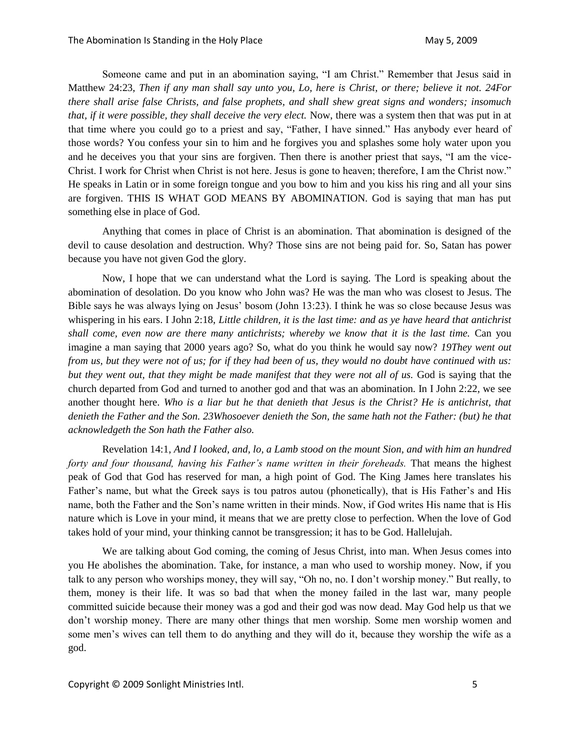Someone came and put in an abomination saying, "I am Christ." Remember that Jesus said in Matthew 24:23, *Then if any man shall say unto you, Lo, here is Christ, or there; believe it not. 24For there shall arise false Christs, and false prophets, and shall shew great signs and wonders; insomuch that, if it were possible, they shall deceive the very elect.* Now, there was a system then that was put in at that time where you could go to a priest and say, "Father, I have sinned." Has anybody ever heard of those words? You confess your sin to him and he forgives you and splashes some holy water upon you and he deceives you that your sins are forgiven. Then there is another priest that says, "I am the vice-Christ. I work for Christ when Christ is not here. Jesus is gone to heaven; therefore, I am the Christ now." He speaks in Latin or in some foreign tongue and you bow to him and you kiss his ring and all your sins are forgiven. THIS IS WHAT GOD MEANS BY ABOMINATION. God is saying that man has put something else in place of God.

Anything that comes in place of Christ is an abomination. That abomination is designed of the devil to cause desolation and destruction. Why? Those sins are not being paid for. So, Satan has power because you have not given God the glory.

Now, I hope that we can understand what the Lord is saying. The Lord is speaking about the abomination of desolation. Do you know who John was? He was the man who was closest to Jesus. The Bible says he was always lying on Jesus' bosom (John 13:23). I think he was so close because Jesus was whispering in his ears. I John 2:18, *Little children, it is the last time: and as ye have heard that antichrist shall come, even now are there many antichrists; whereby we know that it is the last time.* Can you imagine a man saying that 2000 years ago? So, what do you think he would say now? *19They went out from us, but they were not of us; for if they had been of us, they would no doubt have continued with us: but they went out, that they might be made manifest that they were not all of us.* God is saying that the church departed from God and turned to another god and that was an abomination. In I John 2:22, we see another thought here. *Who is a liar but he that denieth that Jesus is the Christ? He is antichrist, that denieth the Father and the Son. 23Whosoever denieth the Son, the same hath not the Father: (but) he that acknowledgeth the Son hath the Father also.*

Revelation 14:1, *And I looked, and, lo, a Lamb stood on the mount Sion, and with him an hundred forty and four thousand, having his Father's name written in their foreheads.* That means the highest peak of God that God has reserved for man, a high point of God. The King James here translates his Father's name, but what the Greek says is tou patros autou (phonetically), that is His Father's and His name, both the Father and the Son's name written in their minds. Now, if God writes His name that is His nature which is Love in your mind, it means that we are pretty close to perfection. When the love of God takes hold of your mind, your thinking cannot be transgression; it has to be God. Hallelujah.

We are talking about God coming, the coming of Jesus Christ, into man. When Jesus comes into you He abolishes the abomination. Take, for instance, a man who used to worship money. Now, if you talk to any person who worships money, they will say, "Oh no, no. I don't worship money." But really, to them, money is their life. It was so bad that when the money failed in the last war, many people committed suicide because their money was a god and their god was now dead. May God help us that we don't worship money. There are many other things that men worship. Some men worship women and some men's wives can tell them to do anything and they will do it, because they worship the wife as a god.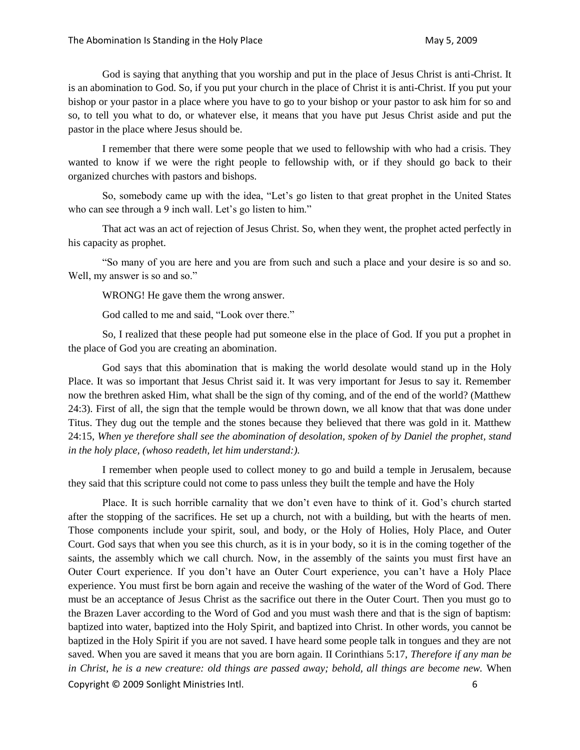God is saying that anything that you worship and put in the place of Jesus Christ is anti-Christ. It is an abomination to God. So, if you put your church in the place of Christ it is anti-Christ. If you put your bishop or your pastor in a place where you have to go to your bishop or your pastor to ask him for so and so, to tell you what to do, or whatever else, it means that you have put Jesus Christ aside and put the pastor in the place where Jesus should be.

I remember that there were some people that we used to fellowship with who had a crisis. They wanted to know if we were the right people to fellowship with, or if they should go back to their organized churches with pastors and bishops.

So, somebody came up with the idea, "Let's go listen to that great prophet in the United States who can see through a 9 inch wall. Let's go listen to him."

That act was an act of rejection of Jesus Christ. So, when they went, the prophet acted perfectly in his capacity as prophet.

"So many of you are here and you are from such and such a place and your desire is so and so. Well, my answer is so and so."

WRONG! He gave them the wrong answer.

God called to me and said, "Look over there."

So, I realized that these people had put someone else in the place of God. If you put a prophet in the place of God you are creating an abomination.

God says that this abomination that is making the world desolate would stand up in the Holy Place. It was so important that Jesus Christ said it. It was very important for Jesus to say it. Remember now the brethren asked Him, what shall be the sign of thy coming, and of the end of the world? (Matthew 24:3). First of all, the sign that the temple would be thrown down, we all know that that was done under Titus. They dug out the temple and the stones because they believed that there was gold in it. Matthew 24:15, *When ye therefore shall see the abomination of desolation, spoken of by Daniel the prophet, stand in the holy place, (whoso readeth, let him understand:).*

I remember when people used to collect money to go and build a temple in Jerusalem, because they said that this scripture could not come to pass unless they built the temple and have the Holy

Copyright © 2009 Sonlight Ministries Intl. 6 Place. It is such horrible carnality that we don't even have to think of it. God's church started after the stopping of the sacrifices. He set up a church, not with a building, but with the hearts of men. Those components include your spirit, soul, and body, or the Holy of Holies, Holy Place, and Outer Court. God says that when you see this church, as it is in your body, so it is in the coming together of the saints, the assembly which we call church. Now, in the assembly of the saints you must first have an Outer Court experience. If you don't have an Outer Court experience, you can't have a Holy Place experience. You must first be born again and receive the washing of the water of the Word of God. There must be an acceptance of Jesus Christ as the sacrifice out there in the Outer Court. Then you must go to the Brazen Laver according to the Word of God and you must wash there and that is the sign of baptism: baptized into water, baptized into the Holy Spirit, and baptized into Christ. In other words, you cannot be baptized in the Holy Spirit if you are not saved. I have heard some people talk in tongues and they are not saved. When you are saved it means that you are born again. II Corinthians 5:17, *Therefore if any man be in Christ, he is a new creature: old things are passed away; behold, all things are become new.* When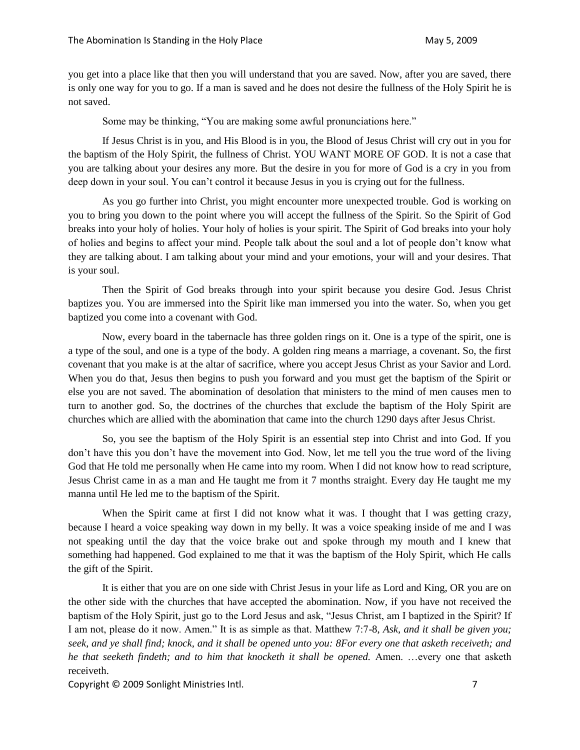you get into a place like that then you will understand that you are saved. Now, after you are saved, there is only one way for you to go. If a man is saved and he does not desire the fullness of the Holy Spirit he is not saved.

Some may be thinking, "You are making some awful pronunciations here."

If Jesus Christ is in you, and His Blood is in you, the Blood of Jesus Christ will cry out in you for the baptism of the Holy Spirit, the fullness of Christ. YOU WANT MORE OF GOD. It is not a case that you are talking about your desires any more. But the desire in you for more of God is a cry in you from deep down in your soul. You can't control it because Jesus in you is crying out for the fullness.

As you go further into Christ, you might encounter more unexpected trouble. God is working on you to bring you down to the point where you will accept the fullness of the Spirit. So the Spirit of God breaks into your holy of holies. Your holy of holies is your spirit. The Spirit of God breaks into your holy of holies and begins to affect your mind. People talk about the soul and a lot of people don't know what they are talking about. I am talking about your mind and your emotions, your will and your desires. That is your soul.

Then the Spirit of God breaks through into your spirit because you desire God. Jesus Christ baptizes you. You are immersed into the Spirit like man immersed you into the water. So, when you get baptized you come into a covenant with God.

Now, every board in the tabernacle has three golden rings on it. One is a type of the spirit, one is a type of the soul, and one is a type of the body. A golden ring means a marriage, a covenant. So, the first covenant that you make is at the altar of sacrifice, where you accept Jesus Christ as your Savior and Lord. When you do that, Jesus then begins to push you forward and you must get the baptism of the Spirit or else you are not saved. The abomination of desolation that ministers to the mind of men causes men to turn to another god. So, the doctrines of the churches that exclude the baptism of the Holy Spirit are churches which are allied with the abomination that came into the church 1290 days after Jesus Christ.

So, you see the baptism of the Holy Spirit is an essential step into Christ and into God. If you don't have this you don't have the movement into God. Now, let me tell you the true word of the living God that He told me personally when He came into my room. When I did not know how to read scripture, Jesus Christ came in as a man and He taught me from it 7 months straight. Every day He taught me my manna until He led me to the baptism of the Spirit.

When the Spirit came at first I did not know what it was. I thought that I was getting crazy, because I heard a voice speaking way down in my belly. It was a voice speaking inside of me and I was not speaking until the day that the voice brake out and spoke through my mouth and I knew that something had happened. God explained to me that it was the baptism of the Holy Spirit, which He calls the gift of the Spirit.

It is either that you are on one side with Christ Jesus in your life as Lord and King, OR you are on the other side with the churches that have accepted the abomination. Now, if you have not received the baptism of the Holy Spirit, just go to the Lord Jesus and ask, "Jesus Christ, am I baptized in the Spirit? If I am not, please do it now. Amen." It is as simple as that. Matthew 7:7-8, *Ask, and it shall be given you; seek, and ye shall find; knock, and it shall be opened unto you: 8For every one that asketh receiveth; and he that seeketh findeth; and to him that knocketh it shall be opened.* Amen. …every one that asketh receiveth.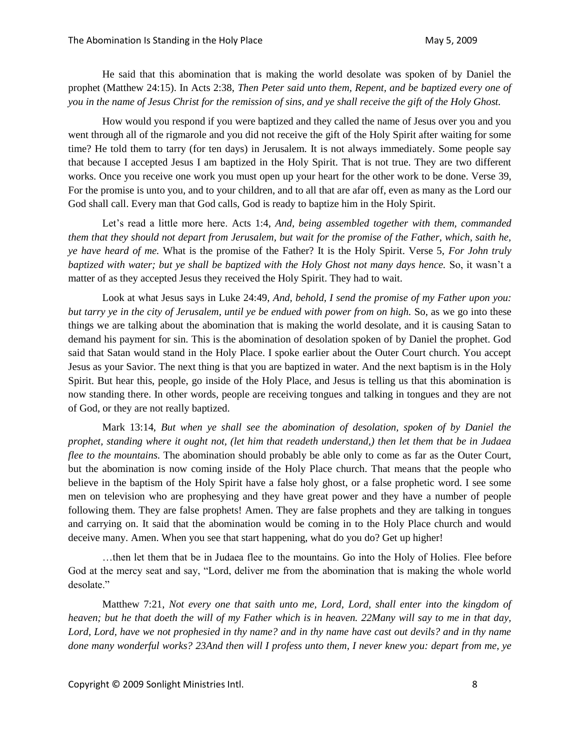He said that this abomination that is making the world desolate was spoken of by Daniel the prophet (Matthew 24:15). In Acts 2:38, *Then Peter said unto them, Repent, and be baptized every one of you in the name of Jesus Christ for the remission of sins, and ye shall receive the gift of the Holy Ghost.*

How would you respond if you were baptized and they called the name of Jesus over you and you went through all of the rigmarole and you did not receive the gift of the Holy Spirit after waiting for some time? He told them to tarry (for ten days) in Jerusalem. It is not always immediately. Some people say that because I accepted Jesus I am baptized in the Holy Spirit. That is not true. They are two different works. Once you receive one work you must open up your heart for the other work to be done. Verse 39, For the promise is unto you, and to your children, and to all that are afar off, even as many as the Lord our God shall call. Every man that God calls, God is ready to baptize him in the Holy Spirit.

Let's read a little more here. Acts 1:4, *And, being assembled together with them, commanded them that they should not depart from Jerusalem, but wait for the promise of the Father, which, saith he, ye have heard of me.* What is the promise of the Father? It is the Holy Spirit. Verse 5, *For John truly baptized with water; but ye shall be baptized with the Holy Ghost not many days hence.* So, it wasn't a matter of as they accepted Jesus they received the Holy Spirit. They had to wait.

Look at what Jesus says in Luke 24:49, *And, behold, I send the promise of my Father upon you: but tarry ye in the city of Jerusalem, until ye be endued with power from on high.* So, as we go into these things we are talking about the abomination that is making the world desolate, and it is causing Satan to demand his payment for sin. This is the abomination of desolation spoken of by Daniel the prophet. God said that Satan would stand in the Holy Place. I spoke earlier about the Outer Court church. You accept Jesus as your Savior. The next thing is that you are baptized in water. And the next baptism is in the Holy Spirit. But hear this, people, go inside of the Holy Place, and Jesus is telling us that this abomination is now standing there. In other words, people are receiving tongues and talking in tongues and they are not of God, or they are not really baptized.

Mark 13:14, *But when ye shall see the abomination of desolation, spoken of by Daniel the prophet, standing where it ought not, (let him that readeth understand,) then let them that be in Judaea flee to the mountains.* The abomination should probably be able only to come as far as the Outer Court, but the abomination is now coming inside of the Holy Place church. That means that the people who believe in the baptism of the Holy Spirit have a false holy ghost, or a false prophetic word. I see some men on television who are prophesying and they have great power and they have a number of people following them. They are false prophets! Amen. They are false prophets and they are talking in tongues and carrying on. It said that the abomination would be coming in to the Holy Place church and would deceive many. Amen. When you see that start happening, what do you do? Get up higher!

…then let them that be in Judaea flee to the mountains. Go into the Holy of Holies. Flee before God at the mercy seat and say, "Lord, deliver me from the abomination that is making the whole world desolate."

Matthew 7:21, *Not every one that saith unto me, Lord, Lord, shall enter into the kingdom of heaven; but he that doeth the will of my Father which is in heaven. 22Many will say to me in that day, Lord, Lord, have we not prophesied in thy name? and in thy name have cast out devils? and in thy name done many wonderful works? 23And then will I profess unto them, I never knew you: depart from me, ye*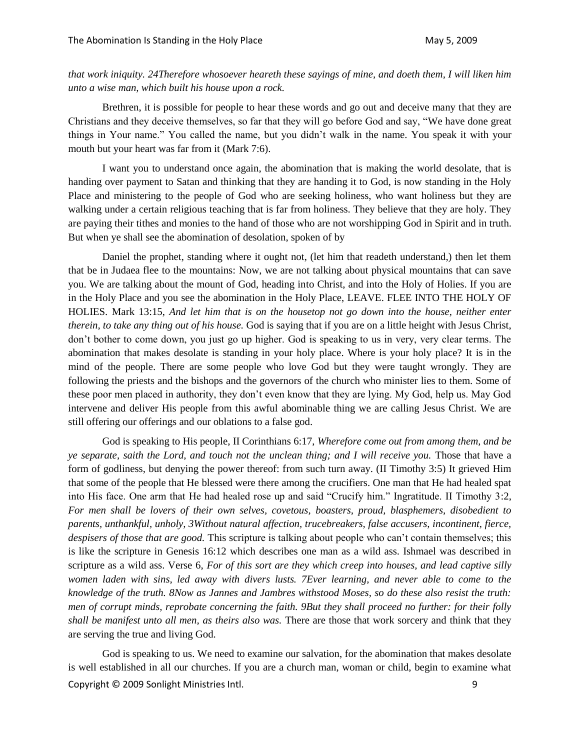*that work iniquity. 24Therefore whosoever heareth these sayings of mine, and doeth them, I will liken him unto a wise man, which built his house upon a rock.*

Brethren, it is possible for people to hear these words and go out and deceive many that they are Christians and they deceive themselves, so far that they will go before God and say, "We have done great things in Your name." You called the name, but you didn't walk in the name. You speak it with your mouth but your heart was far from it (Mark 7:6).

I want you to understand once again, the abomination that is making the world desolate, that is handing over payment to Satan and thinking that they are handing it to God, is now standing in the Holy Place and ministering to the people of God who are seeking holiness, who want holiness but they are walking under a certain religious teaching that is far from holiness. They believe that they are holy. They are paying their tithes and monies to the hand of those who are not worshipping God in Spirit and in truth. But when ye shall see the abomination of desolation, spoken of by

Daniel the prophet, standing where it ought not, (let him that readeth understand,) then let them that be in Judaea flee to the mountains: Now, we are not talking about physical mountains that can save you. We are talking about the mount of God, heading into Christ, and into the Holy of Holies. If you are in the Holy Place and you see the abomination in the Holy Place, LEAVE. FLEE INTO THE HOLY OF HOLIES. Mark 13:15, *And let him that is on the housetop not go down into the house, neither enter therein, to take any thing out of his house.* God is saying that if you are on a little height with Jesus Christ, don't bother to come down, you just go up higher. God is speaking to us in very, very clear terms. The abomination that makes desolate is standing in your holy place. Where is your holy place? It is in the mind of the people. There are some people who love God but they were taught wrongly. They are following the priests and the bishops and the governors of the church who minister lies to them. Some of these poor men placed in authority, they don't even know that they are lying. My God, help us. May God intervene and deliver His people from this awful abominable thing we are calling Jesus Christ. We are still offering our offerings and our oblations to a false god.

God is speaking to His people, II Corinthians 6:17, *Wherefore come out from among them, and be ye separate, saith the Lord, and touch not the unclean thing; and I will receive you.* Those that have a form of godliness, but denying the power thereof: from such turn away. (II Timothy 3:5) It grieved Him that some of the people that He blessed were there among the crucifiers. One man that He had healed spat into His face. One arm that He had healed rose up and said "Crucify him." Ingratitude. II Timothy 3:2, *For men shall be lovers of their own selves, covetous, boasters, proud, blasphemers, disobedient to parents, unthankful, unholy, 3Without natural affection, trucebreakers, false accusers, incontinent, fierce, despisers of those that are good.* This scripture is talking about people who can't contain themselves; this is like the scripture in Genesis 16:12 which describes one man as a wild ass. Ishmael was described in scripture as a wild ass. Verse 6, *For of this sort are they which creep into houses, and lead captive silly women laden with sins, led away with divers lusts. 7Ever learning, and never able to come to the knowledge of the truth. 8Now as Jannes and Jambres withstood Moses, so do these also resist the truth: men of corrupt minds, reprobate concerning the faith. 9But they shall proceed no further: for their folly shall be manifest unto all men, as theirs also was.* There are those that work sorcery and think that they are serving the true and living God.

Copyright © 2009 Sonlight Ministries Intl. 9 God is speaking to us. We need to examine our salvation, for the abomination that makes desolate is well established in all our churches. If you are a church man, woman or child, begin to examine what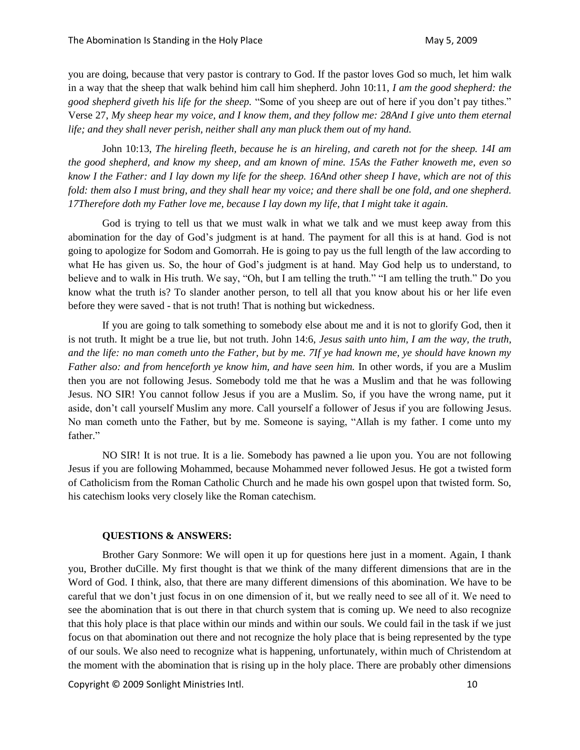you are doing, because that very pastor is contrary to God. If the pastor loves God so much, let him walk in a way that the sheep that walk behind him call him shepherd. John 10:11, *I am the good shepherd: the good shepherd giveth his life for the sheep.* "Some of you sheep are out of here if you don't pay tithes." Verse 27, *My sheep hear my voice, and I know them, and they follow me: 28And I give unto them eternal life; and they shall never perish, neither shall any man pluck them out of my hand.*

John 10:13, *The hireling fleeth, because he is an hireling, and careth not for the sheep. 14I am the good shepherd, and know my sheep, and am known of mine. 15As the Father knoweth me, even so know I the Father: and I lay down my life for the sheep. 16And other sheep I have, which are not of this fold: them also I must bring, and they shall hear my voice; and there shall be one fold, and one shepherd. 17Therefore doth my Father love me, because I lay down my life, that I might take it again.*

God is trying to tell us that we must walk in what we talk and we must keep away from this abomination for the day of God's judgment is at hand. The payment for all this is at hand. God is not going to apologize for Sodom and Gomorrah. He is going to pay us the full length of the law according to what He has given us. So, the hour of God's judgment is at hand. May God help us to understand, to believe and to walk in His truth. We say, "Oh, but I am telling the truth." "I am telling the truth." Do you know what the truth is? To slander another person, to tell all that you know about his or her life even before they were saved - that is not truth! That is nothing but wickedness.

If you are going to talk something to somebody else about me and it is not to glorify God, then it is not truth. It might be a true lie, but not truth. John 14:6, *Jesus saith unto him, I am the way, the truth, and the life: no man cometh unto the Father, but by me. 7If ye had known me, ye should have known my Father also: and from henceforth ye know him, and have seen him.* In other words, if you are a Muslim then you are not following Jesus. Somebody told me that he was a Muslim and that he was following Jesus. NO SIR! You cannot follow Jesus if you are a Muslim. So, if you have the wrong name, put it aside, don't call yourself Muslim any more. Call yourself a follower of Jesus if you are following Jesus. No man cometh unto the Father, but by me. Someone is saying, "Allah is my father. I come unto my father."

NO SIR! It is not true. It is a lie. Somebody has pawned a lie upon you. You are not following Jesus if you are following Mohammed, because Mohammed never followed Jesus. He got a twisted form of Catholicism from the Roman Catholic Church and he made his own gospel upon that twisted form. So, his catechism looks very closely like the Roman catechism.

## **QUESTIONS & ANSWERS:**

Brother Gary Sonmore: We will open it up for questions here just in a moment. Again, I thank you, Brother duCille. My first thought is that we think of the many different dimensions that are in the Word of God. I think, also, that there are many different dimensions of this abomination. We have to be careful that we don't just focus in on one dimension of it, but we really need to see all of it. We need to see the abomination that is out there in that church system that is coming up. We need to also recognize that this holy place is that place within our minds and within our souls. We could fail in the task if we just focus on that abomination out there and not recognize the holy place that is being represented by the type of our souls. We also need to recognize what is happening, unfortunately, within much of Christendom at the moment with the abomination that is rising up in the holy place. There are probably other dimensions